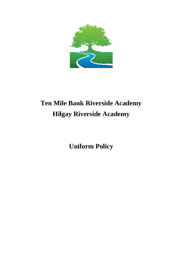

# **Ten Mile Bank Riverside Academy Hilgay Riverside Academy**

**Uniform Policy**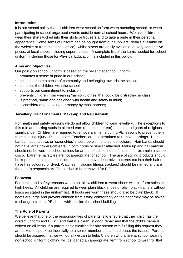#### **Introduction**

It is our school policy that all children wear school uniform when attending school, or when participating in school-organised events outside normal school hours. We ask children to wear their shirts tucked into their skirts or trousers and to take a pride in their personal appearance. Some items of uniform can be bought from our suppliers (details available on the website or from the school office), whilst others are easily available, at very competitive prices, at local shops including supermarkets. A complete list of the items needed for school uniform including those for Physical Education, is included in this policy.

# **Aims and objectives**

Our policy on school uniform is based on the belief that school uniform:

- promotes a sense of pride in our school;
- helps to create a sense of community and belonging towards the school;
- identifies the children with the school;
- supports our commitment to inclusion;
- prevents children from wearing 'fashion clothes' that could be distracting in class;
- is practical, smart and designed with health and safety in mind;
- is considered good value for money by most parents;

## **Jewellery, Hair Ornaments, Make-up and Nail Varnish**

For health and safety reasons we do not allow children to wear jewellery. The exceptions to this rule are earring studs in pierced ears (one stud per ear), and small objects of religious significance. Children are required to remove any items during PE lessons to prevent them from causing injury. Please note: Teachers are not permitted to remove earrings. Hair bands, ribbons/bows or 'scrunchies' should be plain and school colours. Hair bands should not have large flowers/cat ears/unicorn horns or similar attached. Make up and nail varnish should not be worn to school unless for an out of school hours function, for example a school disco. Extreme hairstyles are not appropriate for school. The use of styling products should be kept to a minimum and children should not have decorative patterns cut into their hair or have hair coloured or dyed. Watches (including fitness trackers) should be named and are the pupil's responsibility. These should be removed for P.E.

#### **Footwear**

For health and safety reasons we do not allow children to wear shoes with platform soles or high heels. All children are required to wear plain black shoes or plain black trainers without logos as stated in the uniform list. If boots are worn these should also be plain black. If boots are large and prevent children from sitting comfortably on the floor they may be asked to change into their PE shoes whilst inside the school building.

#### **The Role of Parents**

We believe that one of the responsibilities of parents is to ensure that their child has the correct uniform and PE kit, and that it is clean, in good repair and that the child's name is written on all items. If a parent has difficulties for any reason with fulfilling this request they are asked to speak confidentially to a senior member of staff to discuss the issues. Parents should be assured that we will do all we can to help. Children who arrive at school wearing non-school uniform clothing will be loaned an appropriate item from school to wear for that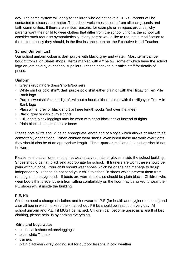day. The same system will apply for children who do not have a PE kit. Parents will be contacted to discuss the matter. The school welcomes children from all backgrounds and faith communities. If there are serious reasons, for example on religious grounds, why parents want their child to wear clothes that differ from the school uniform, the school will consider such requests sympathetically. If any parent would like to request a modification to the uniform policy they should, in the first instance, contact the Executive Head Teacher.

## **School Uniform List**

Our school uniform colour is dark purple with black, grey and white. Most items can be bought from High Street shops. Items marked with a \* below, some of which have the school logo on, are sold by our school suppliers. Please speak to our office staff for details of prices.

#### **Uniform:**

- Grey skirt/pinafore dress/shorts/trousers
- White shirt or polo shirt\*; dark purple polo shirt either plain or with the Hilgay or Ten Mile Bank logo
- Purple sweatshirt\* or cardigan\*, without a hood, either plain or with the Hilgay or Ten Mile Bank logo
- Plain white, grey or black short or knee length socks (not over the knee)
- Black, grey or dark purple tights
- Full length black leggings may be worn with short black socks instead of tights
- Plain black shoes, trainers or boots

Please note skirts should be an appropriate length and of a style which allows children to sit comfortably on the floor. When children wear shorts, even when these are worn over tights, they should also be of an appropriate length. Three-quarter, calf length, leggings should not be worn.

Please note that children should not wear scarves, hats or gloves inside the school building. Shoes should be flat, black and appropriate for school. If trainers are worn these should be plain without logos. Your child should wear shoes which he or she can manage to do up independently Please do not send your child to school in shoes which prevent them from running in the playground. If boots are worn these also should be plain black. Children who wear boots that prevent them from sitting comfortably on the floor may be asked to wear their PE shoes whilst inside the building.

# **P.E. Kit**

Children need a change of clothes and footwear for P.E (for health and hygiene reasons) and a small bag in which to keep the kit at school. PE kit should be in school every day. All school uniform and P.E. kit MUST be named. Children can become upset as a result of lost clothing, please help us by naming everything.

#### **Girls and boys wear:**

- plain black shorts/skorts/leggings
- plain white T-shirt\*
- trainers
- plain black/dark grey jogging suit for outdoor lessons in cold weather